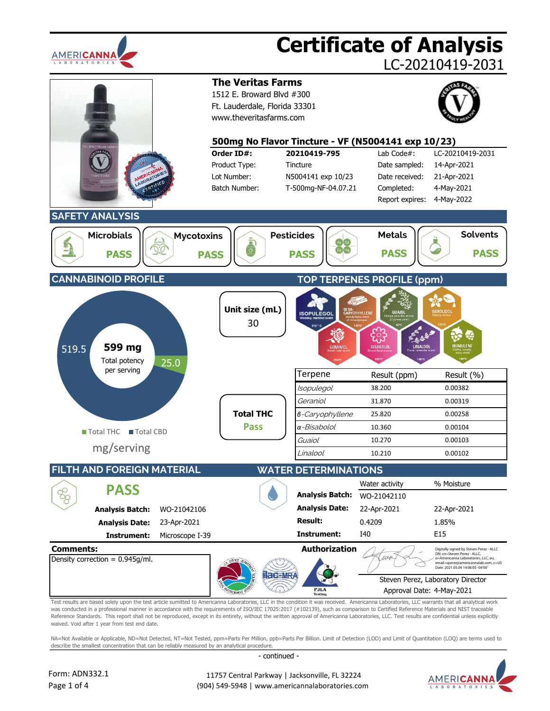

# **Certificate of Analysis**

LC-20210419-2031



was conducted in a professional manner in accordance with the requirements of ISO/IEC 17025:2017 (#102139), such as comparison to Certified Reference Materials and NIST traceable Reference Standards. This report shall not be reproduced, except in its entirety, without the written approval of Americanna Laboratories, LLC. Test results are confidential unless explicitly waived. Void after 1 year from test end date.

NA=Not Available or Applicable, ND=Not Detected, NT=Not Tested, ppm=Parts Per Million, ppb=Parts Per Billion, Limit of Detection (LOD) and Limit of Quantitation (LOO) are terms used to describe the smallest concentration that can be reliably measured by an analytical procedure.

- continued -



 11757 Central Parkway | Jacksonville, FL 32224 (904) 549-5948 | www.americannalaboratories.com

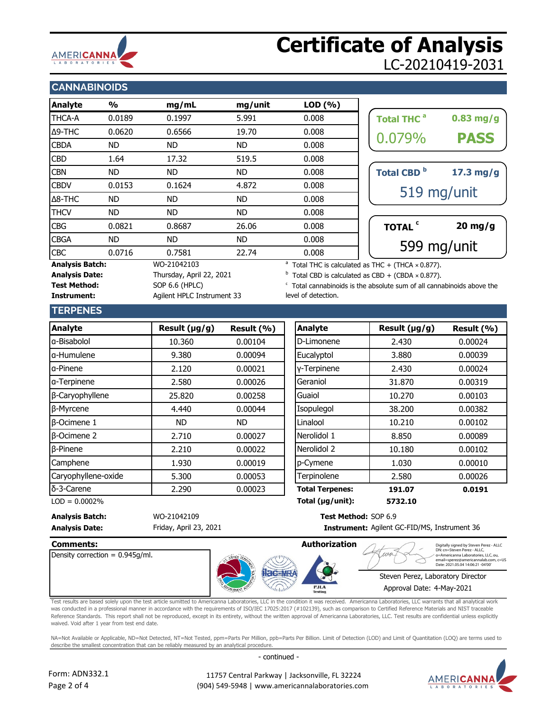

## **Certificate of Analysis** LC-20210419-2031

### **CANNABINOIDS**

| Analyte                               | %      | mg/mL                    | mg/unit | LOD(%)                                                               |                                                             |             |
|---------------------------------------|--------|--------------------------|---------|----------------------------------------------------------------------|-------------------------------------------------------------|-------------|
| <b>THCA-A</b>                         | 0.0189 | 0.1997                   | 5.991   | 0.008                                                                | <b>Total THC<sup>a</sup></b>                                | $0.83$ mg/g |
| Δ9-THC                                | 0.0620 | 0.6566                   | 19.70   | 0.008                                                                |                                                             |             |
| <b>CBDA</b>                           | ND.    | ND                       | ND.     | 0.008                                                                | 0.079%                                                      | <b>PASS</b> |
| <b>CBD</b>                            | 1.64   | 17.32                    | 519.5   | 0.008                                                                |                                                             |             |
| <b>CBN</b>                            | ND     | ND                       | ND.     | 0.008                                                                | Total CBD <sup>b</sup>                                      | $17.3$ mg/g |
| <b>CBDV</b>                           | 0.0153 | 0.1624                   | 4.872   | 0.008                                                                |                                                             |             |
| $\Delta$ 8-THC                        | ND.    | ND                       | ND.     | 0.008                                                                |                                                             | 519 mg/unit |
| <b>THCV</b>                           | ND.    | ND.                      | ND.     | 0.008                                                                |                                                             |             |
| <b>CBG</b>                            | 0.0821 | 0.8687                   | 26.06   | 0.008                                                                | TOTAL <sup>c</sup>                                          | $20$ mg/g   |
| <b>CBGA</b>                           | ND.    | ND.                      | ND.     | 0.008                                                                |                                                             |             |
| <b>CBC</b>                            | 0.0716 | 0.7581                   | 22.74   | 0.008                                                                | 599 mg/unit                                                 |             |
| <b>Analysis Batch:</b><br>WO-21042103 |        |                          |         | <sup>a</sup> Total THC is calculated as THC + (THCA $\times$ 0.877). |                                                             |             |
| <b>Analysis Date:</b>                 |        | Thursday, April 22, 2021 |         |                                                                      | $b$ Total CBD is calculated as CBD + (CBDA $\times$ 0.877). |             |

| <b>Total THC<sup>a</sup></b> | $0.83$ mg/g |  |  |  |
|------------------------------|-------------|--|--|--|
| 0.079%                       | <b>PASS</b> |  |  |  |
|                              |             |  |  |  |
| <b>Total CBD</b>             | $17.3$ mg/g |  |  |  |
| 519 mg/unit                  |             |  |  |  |
|                              |             |  |  |  |
| TOTAL <sup>c</sup>           | $20$ mg/g   |  |  |  |
| 599 mg/unit                  |             |  |  |  |

Total CBD is calculated as CBD  $+$  (CBDA  $\times$  0.877).

 $\epsilon$  Total cannabinoids is the absolute sum of all cannabinoids above the level of detection.

### **TERPENES**

**Test Method:** SOP 6.6 (HPLC)

**Instrument:** Agilent HPLC Instrument 33

| Result $(\mu g/g)$ | Result (%) |
|--------------------|------------|
| 10.360             | 0.00104    |
| 9.380              | 0.00094    |
| 2.120              | 0.00021    |
| 2.580              | 0.00026    |
| 25,820             | 0.00258    |
| 4.440              | 0.00044    |
| ND.                | <b>ND</b>  |
| 2.710              | 0.00027    |
| 2.210              | 0.00022    |
| 1.930              | 0.00019    |
| 5.300              | 0.00053    |
| 2.290              | 0.00023    |
|                    |            |

| sult (µg/g) | Result (%) | <b>Analyte</b>         | Result (µg/g) | Result (%) |
|-------------|------------|------------------------|---------------|------------|
| 10.360      | 0.00104    | D-Limonene             | 2.430         | 0.00024    |
| 9.380       | 0.00094    | Eucalyptol             | 3.880         | 0.00039    |
| 2.120       | 0.00021    | y-Terpinene            | 2.430         | 0.00024    |
| 2.580       | 0.00026    | Geraniol               | 31,870        | 0.00319    |
| 25.820      | 0.00258    | Guaiol                 | 10.270        | 0.00103    |
| 4.440       | 0.00044    | Isopulegol             | 38,200        | 0.00382    |
| <b>ND</b>   | ND.        | Linalool               | 10.210        | 0.00102    |
| 2.710       | 0.00027    | Nerolidol 1            | 8.850         | 0.00089    |
| 2.210       | 0.00022    | Nerolidol 2            | 10.180        | 0.00102    |
| 1.930       | 0.00019    | p-Cymene               | 1.030         | 0.00010    |
| 5.300       | 0.00053    | Terpinolene            | 2.580         | 0.00026    |
| 2.290       | 0.00023    | <b>Total Terpenes:</b> | 191.07        | 0.0191     |
|             |            |                        |               |            |

LOD = 0.0002% **5732.10 Total (µg/unit):**

**Analysis Batch:** WO-21042109 **Test Method:** SOP 6.9 **Analysis Date: Instrument:** Friday, April 23, 2021

Instrument: Agilent GC-FID/MS, Instrument 36

 $1196$ 

Density correction = 0.945g/ml.



Digitally signed by Steven Perez - ALLC<br>DN: cn=Steven Perez - ALLC,<br>o=Americanna Laboratories, LLC, ou,<br>email=sperez@americannalab.com, c=US<br>Date: 2021.05.04 14:06:21 -04'00'

### Steven Perez, Laboratory Director

Approval Date: 4-May-2021

Test results are based solely upon the test article sumitted to Americanna Laboratories, LLC in the condition it was received. Americanna Laboratories, LLC warrants that all analytical work was conducted in a professional manner in accordance with the requirements of ISO/IEC 17025:2017 (#102139), such as comparison to Certified Reference Materials and NIST traceable Reference Standards. This report shall not be reproduced, except in its entirety, without the written approval of Americanna Laboratories, LLC. Test results are confidential unless explicitly waived. Void after 1 year from test end date.

NA=Not Available or Applicable, ND=Not Detected, NT=Not Tested, ppm=Parts Per Million, ppb=Parts Per Billion. Limit of Detection (LOD) and Limit of Quantitation (LOQ) are terms used to describe the smallest concentration that can be reliably measured by an analytical procedure.

- continued -



Form: ADN332.1 Page 2 of 4

 11757 Central Parkway | Jacksonville, FL 32224 (904) 549-5948 | www.americannalaboratories.com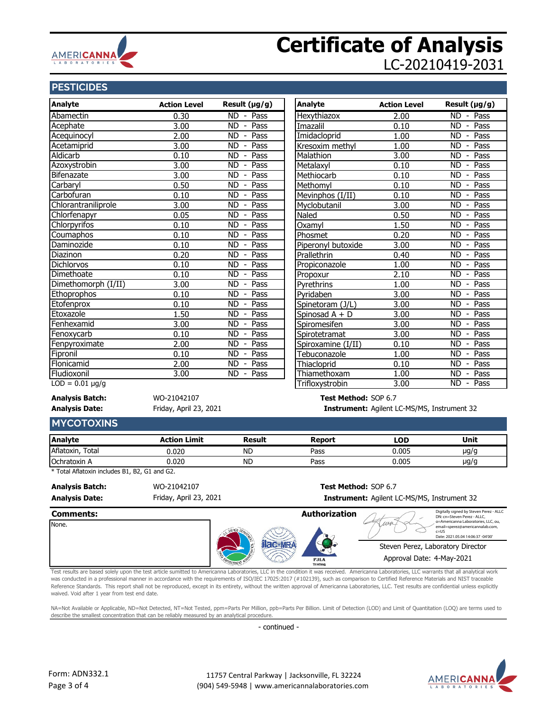

## **Certificate of Analysis** LC-20210419-2031

#### **PESTICIDES**

| <b>Analyte</b>       | <b>Action Level</b> | Result (µg/g)                                 | Analyte            | <b>Action Level</b> | Result (µg/g)                                       |
|----------------------|---------------------|-----------------------------------------------|--------------------|---------------------|-----------------------------------------------------|
| Abamectin            | 0.30                | ND - Pass                                     | Hexythiazox        | 2.00                | $\overline{ND}$<br>Pass<br>$\overline{\phantom{a}}$ |
| Acephate             | 3.00                | <b>ND</b><br>Pass<br>$\overline{\phantom{a}}$ | Imazalil           | 0.10                | Pass<br><b>ND</b><br>$\overline{\phantom{a}}$       |
| Acequinocyl          | 2.00                | <b>ND</b><br>Pass<br>$\overline{\phantom{a}}$ | Imidacloprid       | 1.00                | <b>ND</b><br>Pass<br>$\overline{\phantom{a}}$       |
| Acetamiprid          | 3.00                | Pass<br><b>ND</b><br>$\overline{\phantom{a}}$ | Kresoxim methyl    | 1.00                | Pass<br><b>ND</b>                                   |
| <b>Aldicarb</b>      | 0.10                | <b>ND</b><br>Pass<br>$\overline{\phantom{a}}$ | Malathion          | 3.00                | Pass<br><b>ND</b>                                   |
| Azoxystrobin         | 3.00                | <b>ND</b><br>Pass<br>$\blacksquare$           | Metalaxyl          | 0.10                | <b>ND</b><br>Pass                                   |
| Bifenazate           | 3.00                | <b>ND</b><br>Pass<br>$\blacksquare$           | Methiocarb         | 0.10                | <b>ND</b><br>Pass                                   |
| Carbaryl             | 0.50                | <b>ND</b><br>Pass<br>$\overline{\phantom{a}}$ | Methomyl           | 0.10                | Pass<br><b>ND</b>                                   |
| Carbofuran           | 0.10                | <b>ND</b><br>Pass<br>$\blacksquare$           | Mevinphos (I/II)   | 0.10                | <b>ND</b><br>Pass                                   |
| Chlorantraniliprole  | 3.00                | Pass<br><b>ND</b><br>$\overline{\phantom{a}}$ | Myclobutanil       | 3.00                | Pass<br><b>ND</b>                                   |
| Chlorfenapyr         | 0.05                | <b>ND</b><br>Pass<br>$\blacksquare$           | Naled              | 0.50                | <b>ND</b><br>Pass                                   |
| <b>Chlorpyrifos</b>  | 0.10                | Pass<br><b>ND</b><br>$\overline{\phantom{a}}$ | Oxamyl             | 1.50                | Pass<br><b>ND</b>                                   |
| Coumaphos            | 0.10                | <b>ND</b><br>Pass<br>$\sim$                   | Phosmet            | 0.20                | Pass<br><b>ND</b>                                   |
| Daminozide           | 0.10                | Pass<br><b>ND</b><br>$\overline{\phantom{a}}$ | Piperonyl butoxide | 3.00                | Pass<br><b>ND</b>                                   |
| Diazinon             | 0.20                | Pass<br><b>ND</b><br>$\blacksquare$           | Prallethrin        | 0.40                | Pass<br><b>ND</b>                                   |
| <b>Dichlorvos</b>    | 0.10                | Pass<br><b>ND</b><br>$\blacksquare$           | Propiconazole      | 1.00                | Pass<br><b>ND</b>                                   |
| Dimethoate           | 0.10                | <b>ND</b><br>Pass<br>$\blacksquare$           | Propoxur           | 2.10                | <b>ND</b><br>Pass                                   |
| Dimethomorph (I/II)  | 3.00                | <b>ND</b><br>Pass<br>$\overline{\phantom{a}}$ | Pyrethrins         | 1.00                | Pass<br><b>ND</b>                                   |
| Ethoprophos          | 0.10                | <b>ND</b><br>Pass<br>$\blacksquare$           | Pyridaben          | 3.00                | Pass<br><b>ND</b>                                   |
| Etofenprox           | 0.10                | Pass<br><b>ND</b><br>$\overline{\phantom{a}}$ | Spinetoram (J/L)   | 3.00                | Pass<br><b>ND</b>                                   |
| Etoxazole            | 1.50                | Pass<br><b>ND</b><br>$\blacksquare$           | Spinosad A + D     | 3.00                | Pass<br><b>ND</b>                                   |
| Fenhexamid           | 3.00                | Pass<br><b>ND</b><br>$\overline{\phantom{a}}$ | Spiromesifen       | 3.00                | Pass<br><b>ND</b><br>$\overline{\phantom{0}}$       |
| Fenoxycarb           | 0.10                | Pass<br>ND.<br>$\blacksquare$                 | Spirotetramat      | 3.00                | Pass<br><b>ND</b>                                   |
| Fenpyroximate        | 2.00                | Pass<br><b>ND</b><br>$\overline{\phantom{a}}$ | Spiroxamine (I/II) | 0.10                | Pass<br><b>ND</b>                                   |
| Fipronil             | 0.10                | ND.<br>Pass<br>$\overline{\phantom{a}}$       | Tebuconazole       | 1.00                | Pass<br><b>ND</b>                                   |
| Flonicamid           | 2.00                | Pass<br>ND.<br>$\overline{\phantom{a}}$       | Thiacloprid        | 0.10                | Pass<br><b>ND</b><br>$\overline{\phantom{a}}$       |
| Fludioxonil          | 3.00                | ND.<br>- Pass                                 | Thiamethoxam       | 1.00                | Pass<br><b>ND</b><br>$\blacksquare$                 |
| $LOD = 0.01 \mu g/g$ |                     |                                               | Trifloxystrobin    | 3.00                | ND - Pass                                           |

Friday, April 23, 2021

#### **Analysis Batch:** WO-21042107 **Test Method:** SOP 6.7 **Analysis Date: Instrument:** Agilent LC-MS/MS, Instrument 32

#### **MYCOTOXINS**

| <b>Analyte</b>           | <b>\ction Limit</b> | Result    | Report | LOD.  | Unit |
|--------------------------|---------------------|-----------|--------|-------|------|
| Aflatoxin<br>$\tau$ otal | 0.020               | <b>ND</b> | Pass   | 0.005 | µg/g |
| Ochratoxin A             | .020                | <b>ND</b> | Pass   | 0.005 | µg/g |

\* Total Aflatoxin includes B1, B2, G1 and G2.

Friday, April 23, 2021

**Analysis Batch:** WO-21042107 **Test Method:** SOP 6.7 **Analysis Date: Instrument:** Agilent LC-MS/MS, Instrument 32



Test results are based solely upon the test article sumitted to Americanna Laboratories, LLC in the condition it was received. Americanna Laboratories, LLC warrants that all analytical work was conducted in a professional manner in accordance with the requirements of ISO/IEC 17025:2017 (#102139), such as comparison to Certified Reference Materials and NIST traceable Reference Standards. This report shall not be reproduced, except in its entirety, without the written approval of Americanna Laboratories, LLC. Test results are confidential unless explicitly waived. Void after 1 year from test end date.

NA=Not Available or Applicable, ND=Not Detected, NT=Not Tested, ppm=Parts Per Million, ppb=Parts Per Billion. Limit of Detection (LOD) and Limit of Quantitation (LOQ) are terms used to describe the smallest concentration that can be reliably measured by an analytical procedure.

- continued -